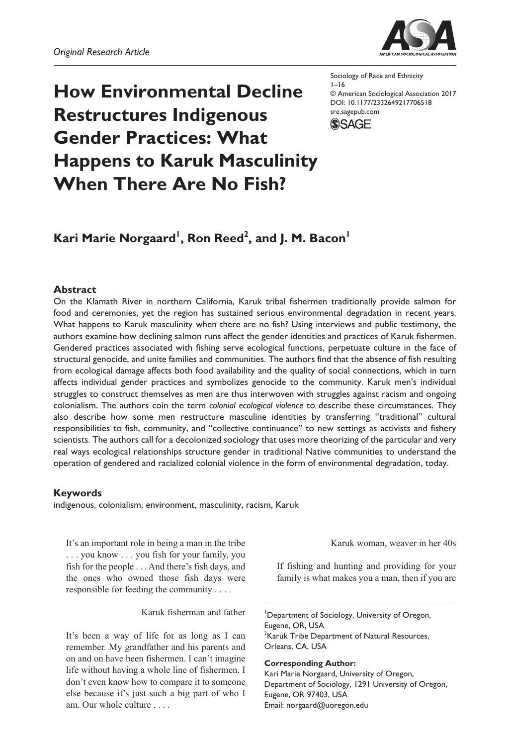

# **How Environmental Decline Restructures Indigenous Gender Practices: What Happens to Karuk Masculinity When There Are No Fish?**

https://doi.org/10.1177/2332649217706518 DOI: 10.1177/2332649217706518 Sociology of Race and Ethnicity 1–16 © American Sociological Association 2017 [sre.sagepub.com](https://sre.sagepub.com)



# Kari Marie Norgaard<sup>1</sup>, Ron Reed<sup>2</sup>, and J. M. Bacon<sup>1</sup>

#### **Abstract**

On the Klamath River in northern California, Karuk tribal fishermen traditionally provide salmon for food and ceremonies, yet the region has sustained serious environmental degradation in recent years. What happens to Karuk masculinity when there are no fish? Using interviews and public testimony, the authors examine how declining salmon runs affect the gender identities and practices of Karuk fishermen. Gendered practices associated with fishing serve ecological functions, perpetuate culture in the face of structural genocide, and unite families and communities. The authors find that the absence of fish resulting from ecological damage affects both food availability and the quality of social connections, which in turn affects individual gender practices and symbolizes genocide to the community. Karuk men's individual struggles to construct themselves as men are thus interwoven with struggles against racism and ongoing colonialism. The authors coin the term *colonial ecological violence* to describe these circumstances. They also describe how some men restructure masculine identities by transferring "traditional" cultural responsibilities to fish, community, and "collective continuance" to new settings as activists and fishery scientists. The authors call for a decolonized sociology that uses more theorizing of the particular and very real ways ecological relationships structure gender in traditional Native communities to understand the operation of gendered and racialized colonial violence in the form of environmental degradation, today.

#### **Keywords**

indigenous, colonialism, environment, masculinity, racism, Karuk

It's an important role in being a man in the tribe . . . you know . . . you fish for your family, you fish for the people . . . And there's fish days, and the ones who owned those fish days were responsible for feeding the community . . . .

Karuk fisherman and father

It's been a way of life for as long as I can remember. My grandfather and his parents and on and on have been fishermen. I can't imagine life without having a whole line of fishermen. I don't even know how to compare it to someone else because it's just such a big part of who I am. Our whole culture . . . .

Karuk woman, weaver in her 40s

If fishing and hunting and providing for your family is what makes you a man, then if you are

<sup>1</sup>Department of Sociology, University of Oregon, Eugene, OR, USA <sup>2</sup>Karuk Tribe Department of Natural Resources, Orleans, CA, USA

#### **Corresponding Author:**

Kari Marie Norgaard, University of Oregon, Department of Sociology, 1291 University of Oregon, Eugene, OR 97403, USA Email: norgaard@uoregon.edu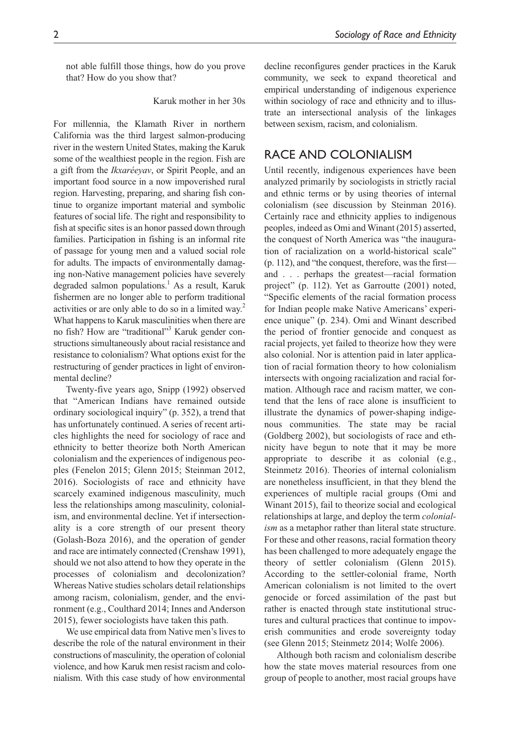not able fulfill those things, how do you prove that? How do you show that?

Karuk mother in her 30s

For millennia, the Klamath River in northern California was the third largest salmon-producing river in the western United States, making the Karuk some of the wealthiest people in the region. Fish are a gift from the *Ikxaréeyav*, or Spirit People, and an important food source in a now impoverished rural region. Harvesting, preparing, and sharing fish continue to organize important material and symbolic features of social life. The right and responsibility to fish at specific sites is an honor passed down through families. Participation in fishing is an informal rite of passage for young men and a valued social role for adults. The impacts of environmentally damaging non-Native management policies have severely degraded salmon populations.<sup>1</sup> As a result, Karuk fishermen are no longer able to perform traditional activities or are only able to do so in a limited way.2 What happens to Karuk masculinities when there are no fish? How are "traditional"<sup>3</sup> Karuk gender constructions simultaneously about racial resistance and resistance to colonialism? What options exist for the restructuring of gender practices in light of environmental decline?

Twenty-five years ago, Snipp (1992) observed that "American Indians have remained outside ordinary sociological inquiry" (p. 352), a trend that has unfortunately continued. A series of recent articles highlights the need for sociology of race and ethnicity to better theorize both North American colonialism and the experiences of indigenous peoples (Fenelon 2015; Glenn 2015; Steinman 2012, 2016). Sociologists of race and ethnicity have scarcely examined indigenous masculinity, much less the relationships among masculinity, colonialism, and environmental decline. Yet if intersectionality is a core strength of our present theory (Golash-Boza 2016), and the operation of gender and race are intimately connected (Crenshaw 1991), should we not also attend to how they operate in the processes of colonialism and decolonization? Whereas Native studies scholars detail relationships among racism, colonialism, gender, and the environment (e.g., Coulthard 2014; Innes and Anderson 2015), fewer sociologists have taken this path.

We use empirical data from Native men's lives to describe the role of the natural environment in their constructions of masculinity, the operation of colonial violence, and how Karuk men resist racism and colonialism. With this case study of how environmental

decline reconfigures gender practices in the Karuk community, we seek to expand theoretical and empirical understanding of indigenous experience within sociology of race and ethnicity and to illustrate an intersectional analysis of the linkages between sexism, racism, and colonialism.

#### Race and Colonialism

Until recently, indigenous experiences have been analyzed primarily by sociologists in strictly racial and ethnic terms or by using theories of internal colonialism (see discussion by Steinman 2016). Certainly race and ethnicity applies to indigenous peoples, indeed as Omi and Winant (2015) asserted, the conquest of North America was "the inauguration of racialization on a world-historical scale" (p. 112), and "the conquest, therefore, was the first and . . . perhaps the greatest—racial formation project" (p. 112). Yet as Garroutte (2001) noted, "Specific elements of the racial formation process for Indian people make Native Americans' experience unique" (p. 234). Omi and Winant described the period of frontier genocide and conquest as racial projects, yet failed to theorize how they were also colonial. Nor is attention paid in later application of racial formation theory to how colonialism intersects with ongoing racialization and racial formation. Although race and racism matter, we contend that the lens of race alone is insufficient to illustrate the dynamics of power-shaping indigenous communities. The state may be racial (Goldberg 2002), but sociologists of race and ethnicity have begun to note that it may be more appropriate to describe it as colonial (e.g., Steinmetz 2016). Theories of internal colonialism are nonetheless insufficient, in that they blend the experiences of multiple racial groups (Omi and Winant 2015), fail to theorize social and ecological relationships at large, and deploy the term *colonialism* as a metaphor rather than literal state structure. For these and other reasons, racial formation theory has been challenged to more adequately engage the theory of settler colonialism (Glenn 2015). According to the settler-colonial frame, North American colonialism is not limited to the overt genocide or forced assimilation of the past but rather is enacted through state institutional structures and cultural practices that continue to impoverish communities and erode sovereignty today (see Glenn 2015; Steinmetz 2014; Wolfe 2006).

Although both racism and colonialism describe how the state moves material resources from one group of people to another, most racial groups have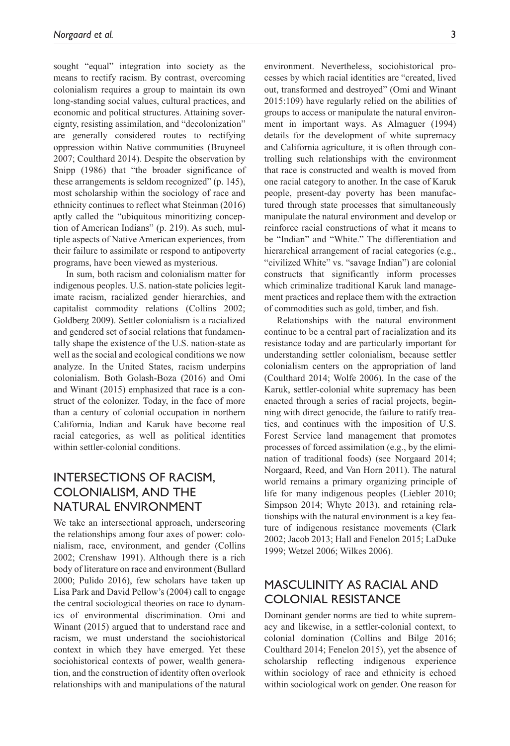sought "equal" integration into society as the means to rectify racism. By contrast, overcoming colonialism requires a group to maintain its own long-standing social values, cultural practices, and economic and political structures. Attaining sovereignty, resisting assimilation, and "decolonization" are generally considered routes to rectifying oppression within Native communities (Bruyneel 2007; Coulthard 2014). Despite the observation by Snipp (1986) that "the broader significance of these arrangements is seldom recognized" (p. 145), most scholarship within the sociology of race and ethnicity continues to reflect what Steinman (2016) aptly called the "ubiquitous minoritizing conception of American Indians" (p. 219). As such, multiple aspects of Native American experiences, from their failure to assimilate or respond to antipoverty programs, have been viewed as mysterious.

In sum, both racism and colonialism matter for indigenous peoples. U.S. nation-state policies legitimate racism, racialized gender hierarchies, and capitalist commodity relations (Collins 2002; Goldberg 2009). Settler colonialism is a racialized and gendered set of social relations that fundamentally shape the existence of the U.S. nation-state as well as the social and ecological conditions we now analyze. In the United States, racism underpins colonialism. Both Golash-Boza (2016) and Omi and Winant (2015) emphasized that race is a construct of the colonizer. Today, in the face of more than a century of colonial occupation in northern California, Indian and Karuk have become real racial categories, as well as political identities within settler-colonial conditions.

# Intersections of Racism, Colonialism, and the Natural Environment

We take an intersectional approach, underscoring the relationships among four axes of power: colonialism, race, environment, and gender (Collins 2002; Crenshaw 1991). Although there is a rich body of literature on race and environment (Bullard 2000; Pulido 2016), few scholars have taken up Lisa Park and David Pellow's (2004) call to engage the central sociological theories on race to dynamics of environmental discrimination. Omi and Winant (2015) argued that to understand race and racism, we must understand the sociohistorical context in which they have emerged. Yet these sociohistorical contexts of power, wealth generation, and the construction of identity often overlook relationships with and manipulations of the natural environment. Nevertheless, sociohistorical processes by which racial identities are "created, lived out, transformed and destroyed" (Omi and Winant 2015:109) have regularly relied on the abilities of groups to access or manipulate the natural environment in important ways. As Almaguer (1994) details for the development of white supremacy and California agriculture, it is often through controlling such relationships with the environment that race is constructed and wealth is moved from one racial category to another. In the case of Karuk people, present-day poverty has been manufactured through state processes that simultaneously manipulate the natural environment and develop or reinforce racial constructions of what it means to be "Indian" and "White." The differentiation and hierarchical arrangement of racial categories (e.g., "civilized White" vs. "savage Indian") are colonial constructs that significantly inform processes which criminalize traditional Karuk land management practices and replace them with the extraction of commodities such as gold, timber, and fish.

Relationships with the natural environment continue to be a central part of racialization and its resistance today and are particularly important for understanding settler colonialism, because settler colonialism centers on the appropriation of land (Coulthard 2014; Wolfe 2006). In the case of the Karuk, settler-colonial white supremacy has been enacted through a series of racial projects, beginning with direct genocide, the failure to ratify treaties, and continues with the imposition of U.S. Forest Service land management that promotes processes of forced assimilation (e.g., by the elimination of traditional foods) (see Norgaard 2014; Norgaard, Reed, and Van Horn 2011). The natural world remains a primary organizing principle of life for many indigenous peoples (Liebler 2010; Simpson 2014; Whyte 2013), and retaining relationships with the natural environment is a key feature of indigenous resistance movements (Clark 2002; Jacob 2013; Hall and Fenelon 2015; LaDuke 1999; Wetzel 2006; Wilkes 2006).

# Masculinity as Racial and Colonial Resistance

Dominant gender norms are tied to white supremacy and likewise, in a settler-colonial context, to colonial domination (Collins and Bilge 2016; Coulthard 2014; Fenelon 2015), yet the absence of scholarship reflecting indigenous experience within sociology of race and ethnicity is echoed within sociological work on gender. One reason for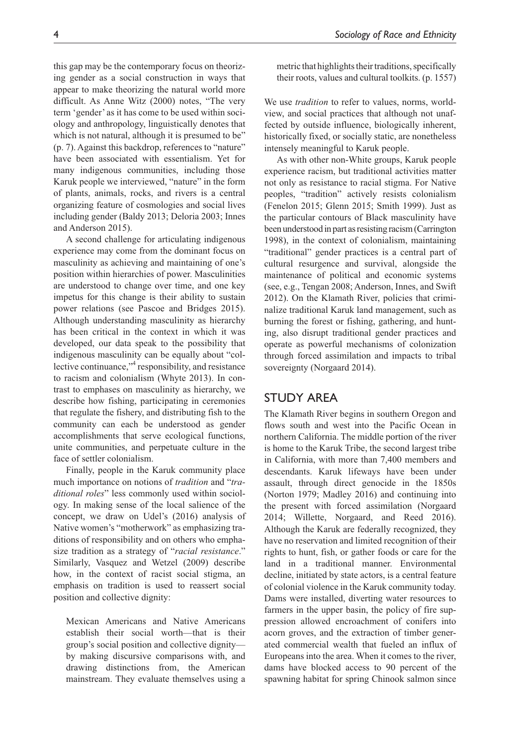this gap may be the contemporary focus on theorizing gender as a social construction in ways that appear to make theorizing the natural world more difficult. As Anne Witz (2000) notes, "The very term 'gender' as it has come to be used within sociology and anthropology, linguistically denotes that which is not natural, although it is presumed to be" (p. 7). Against this backdrop, references to "nature" have been associated with essentialism. Yet for many indigenous communities, including those Karuk people we interviewed, "nature" in the form of plants, animals, rocks, and rivers is a central organizing feature of cosmologies and social lives including gender (Baldy 2013; Deloria 2003; Innes and Anderson 2015).

A second challenge for articulating indigenous experience may come from the dominant focus on masculinity as achieving and maintaining of one's position within hierarchies of power. Masculinities are understood to change over time, and one key impetus for this change is their ability to sustain power relations (see Pascoe and Bridges 2015). Although understanding masculinity as hierarchy has been critical in the context in which it was developed, our data speak to the possibility that indigenous masculinity can be equally about "collective continuance,"<sup>4</sup> responsibility, and resistance to racism and colonialism (Whyte 2013). In contrast to emphases on masculinity as hierarchy, we describe how fishing, participating in ceremonies that regulate the fishery, and distributing fish to the community can each be understood as gender accomplishments that serve ecological functions, unite communities, and perpetuate culture in the face of settler colonialism.

Finally, people in the Karuk community place much importance on notions of *tradition* and "*traditional roles*" less commonly used within sociology. In making sense of the local salience of the concept, we draw on Udel's (2016) analysis of Native women's "motherwork" as emphasizing traditions of responsibility and on others who emphasize tradition as a strategy of "*racial resistance*." Similarly, Vasquez and Wetzel (2009) describe how, in the context of racist social stigma, an emphasis on tradition is used to reassert social position and collective dignity:

Mexican Americans and Native Americans establish their social worth—that is their group's social position and collective dignity by making discursive comparisons with, and drawing distinctions from, the American mainstream. They evaluate themselves using a

metric that highlights their traditions, specifically their roots, values and cultural toolkits. (p. 1557)

We use *tradition* to refer to values, norms, worldview, and social practices that although not unaffected by outside influence, biologically inherent, historically fixed, or socially static, are nonetheless intensely meaningful to Karuk people.

As with other non-White groups, Karuk people experience racism, but traditional activities matter not only as resistance to racial stigma. For Native peoples, "tradition" actively resists colonialism (Fenelon 2015; Glenn 2015; Smith 1999). Just as the particular contours of Black masculinity have been understood in part as resisting racism (Carrington 1998), in the context of colonialism, maintaining "traditional" gender practices is a central part of cultural resurgence and survival, alongside the maintenance of political and economic systems (see, e.g., Tengan 2008; Anderson, Innes, and Swift 2012). On the Klamath River, policies that criminalize traditional Karuk land management, such as burning the forest or fishing, gathering, and hunting, also disrupt traditional gender practices and operate as powerful mechanisms of colonization through forced assimilation and impacts to tribal sovereignty (Norgaard 2014).

#### Study Area

The Klamath River begins in southern Oregon and flows south and west into the Pacific Ocean in northern California. The middle portion of the river is home to the Karuk Tribe, the second largest tribe in California, with more than 7,400 members and descendants. Karuk lifeways have been under assault, through direct genocide in the 1850s (Norton 1979; Madley 2016) and continuing into the present with forced assimilation (Norgaard 2014; Willette, Norgaard, and Reed 2016). Although the Karuk are federally recognized, they have no reservation and limited recognition of their rights to hunt, fish, or gather foods or care for the land in a traditional manner. Environmental decline, initiated by state actors, is a central feature of colonial violence in the Karuk community today. Dams were installed, diverting water resources to farmers in the upper basin, the policy of fire suppression allowed encroachment of conifers into acorn groves, and the extraction of timber generated commercial wealth that fueled an influx of Europeans into the area. When it comes to the river, dams have blocked access to 90 percent of the spawning habitat for spring Chinook salmon since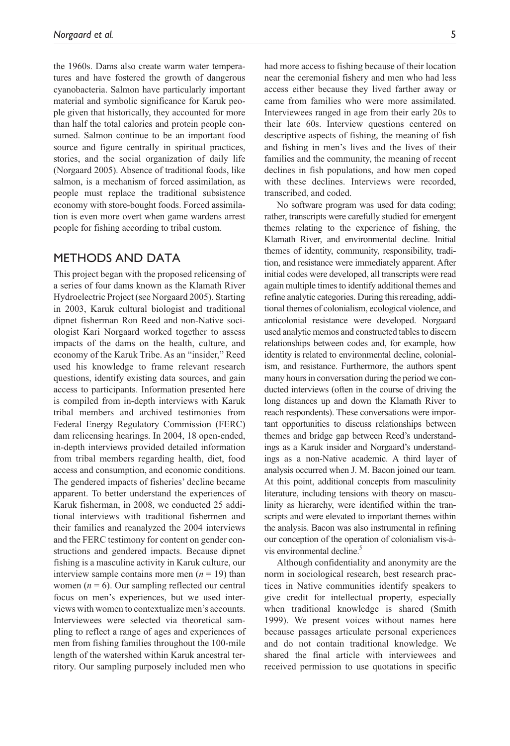the 1960s. Dams also create warm water temperatures and have fostered the growth of dangerous cyanobacteria. Salmon have particularly important material and symbolic significance for Karuk people given that historically, they accounted for more than half the total calories and protein people consumed. Salmon continue to be an important food source and figure centrally in spiritual practices, stories, and the social organization of daily life (Norgaard 2005). Absence of traditional foods, like salmon, is a mechanism of forced assimilation, as people must replace the traditional subsistence economy with store-bought foods. Forced assimilation is even more overt when game wardens arrest people for fishing according to tribal custom.

### Methods and Data

This project began with the proposed relicensing of a series of four dams known as the Klamath River Hydroelectric Project (see Norgaard 2005). Starting in 2003, Karuk cultural biologist and traditional dipnet fisherman Ron Reed and non-Native sociologist Kari Norgaard worked together to assess impacts of the dams on the health, culture, and economy of the Karuk Tribe. As an "insider," Reed used his knowledge to frame relevant research questions, identify existing data sources, and gain access to participants. Information presented here is compiled from in-depth interviews with Karuk tribal members and archived testimonies from Federal Energy Regulatory Commission (FERC) dam relicensing hearings. In 2004, 18 open-ended, in-depth interviews provided detailed information from tribal members regarding health, diet, food access and consumption, and economic conditions. The gendered impacts of fisheries' decline became apparent. To better understand the experiences of Karuk fisherman, in 2008, we conducted 25 additional interviews with traditional fishermen and their families and reanalyzed the 2004 interviews and the FERC testimony for content on gender constructions and gendered impacts. Because dipnet fishing is a masculine activity in Karuk culture, our interview sample contains more men  $(n = 19)$  than women  $(n = 6)$ . Our sampling reflected our central focus on men's experiences, but we used interviews with women to contextualize men's accounts. Interviewees were selected via theoretical sampling to reflect a range of ages and experiences of men from fishing families throughout the 100-mile length of the watershed within Karuk ancestral territory. Our sampling purposely included men who

had more access to fishing because of their location near the ceremonial fishery and men who had less access either because they lived farther away or came from families who were more assimilated. Interviewees ranged in age from their early 20s to their late 60s. Interview questions centered on descriptive aspects of fishing, the meaning of fish and fishing in men's lives and the lives of their families and the community, the meaning of recent declines in fish populations, and how men coped with these declines. Interviews were recorded, transcribed, and coded.

No software program was used for data coding; rather, transcripts were carefully studied for emergent themes relating to the experience of fishing, the Klamath River, and environmental decline. Initial themes of identity, community, responsibility, tradition, and resistance were immediately apparent. After initial codes were developed, all transcripts were read again multiple times to identify additional themes and refine analytic categories. During this rereading, additional themes of colonialism, ecological violence, and anticolonial resistance were developed. Norgaard used analytic memos and constructed tables to discern relationships between codes and, for example, how identity is related to environmental decline, colonialism, and resistance. Furthermore, the authors spent many hours in conversation during the period we conducted interviews (often in the course of driving the long distances up and down the Klamath River to reach respondents). These conversations were important opportunities to discuss relationships between themes and bridge gap between Reed's understandings as a Karuk insider and Norgaard's understandings as a non-Native academic. A third layer of analysis occurred when J. M. Bacon joined our team. At this point, additional concepts from masculinity literature, including tensions with theory on masculinity as hierarchy, were identified within the transcripts and were elevated to important themes within the analysis. Bacon was also instrumental in refining our conception of the operation of colonialism vis-àvis environmental decline.<sup>5</sup>

Although confidentiality and anonymity are the norm in sociological research, best research practices in Native communities identify speakers to give credit for intellectual property, especially when traditional knowledge is shared (Smith 1999). We present voices without names here because passages articulate personal experiences and do not contain traditional knowledge. We shared the final article with interviewees and received permission to use quotations in specific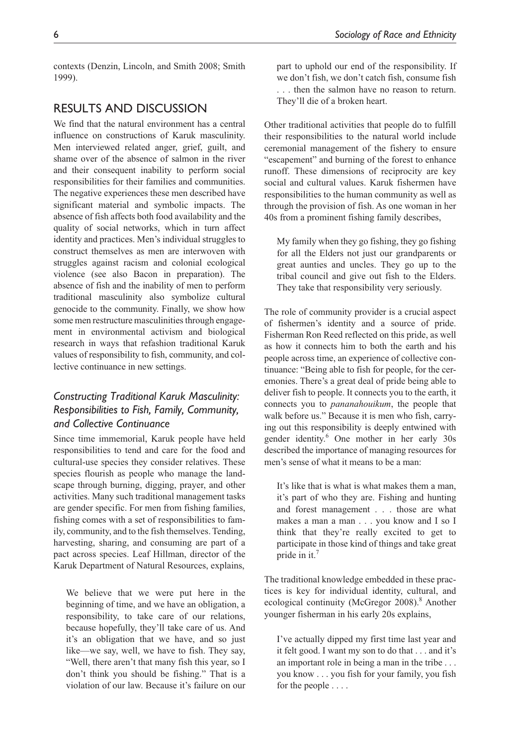contexts (Denzin, Lincoln, and Smith 2008; Smith 1999).

#### Results and Discussion

We find that the natural environment has a central influence on constructions of Karuk masculinity. Men interviewed related anger, grief, guilt, and shame over of the absence of salmon in the river and their consequent inability to perform social responsibilities for their families and communities. The negative experiences these men described have significant material and symbolic impacts. The absence of fish affects both food availability and the quality of social networks, which in turn affect identity and practices. Men's individual struggles to construct themselves as men are interwoven with struggles against racism and colonial ecological violence (see also Bacon in preparation). The absence of fish and the inability of men to perform traditional masculinity also symbolize cultural genocide to the community. Finally, we show how some men restructure masculinities through engagement in environmental activism and biological research in ways that refashion traditional Karuk values of responsibility to fish, community, and collective continuance in new settings.

#### *Constructing Traditional Karuk Masculinity: Responsibilities to Fish, Family, Community, and Collective Continuance*

Since time immemorial, Karuk people have held responsibilities to tend and care for the food and cultural-use species they consider relatives. These species flourish as people who manage the landscape through burning, digging, prayer, and other activities. Many such traditional management tasks are gender specific. For men from fishing families, fishing comes with a set of responsibilities to family, community, and to the fish themselves. Tending, harvesting, sharing, and consuming are part of a pact across species. Leaf Hillman, director of the Karuk Department of Natural Resources, explains,

We believe that we were put here in the beginning of time, and we have an obligation, a responsibility, to take care of our relations, because hopefully, they'll take care of us. And it's an obligation that we have, and so just like—we say, well, we have to fish. They say, "Well, there aren't that many fish this year, so I don't think you should be fishing." That is a violation of our law. Because it's failure on our

part to uphold our end of the responsibility. If we don't fish, we don't catch fish, consume fish . . . then the salmon have no reason to return. They'll die of a broken heart.

Other traditional activities that people do to fulfill their responsibilities to the natural world include ceremonial management of the fishery to ensure "escapement" and burning of the forest to enhance runoff. These dimensions of reciprocity are key social and cultural values. Karuk fishermen have responsibilities to the human community as well as through the provision of fish. As one woman in her 40s from a prominent fishing family describes,

My family when they go fishing, they go fishing for all the Elders not just our grandparents or great aunties and uncles. They go up to the tribal council and give out fish to the Elders. They take that responsibility very seriously.

The role of community provider is a crucial aspect of fishermen's identity and a source of pride. Fisherman Ron Reed reflected on this pride, as well as how it connects him to both the earth and his people across time, an experience of collective continuance: "Being able to fish for people, for the ceremonies. There's a great deal of pride being able to deliver fish to people. It connects you to the earth, it connects you to *pananahouikum*, the people that walk before us." Because it is men who fish, carrying out this responsibility is deeply entwined with gender identity.<sup>6</sup> One mother in her early 30s described the importance of managing resources for men's sense of what it means to be a man:

It's like that is what is what makes them a man, it's part of who they are. Fishing and hunting and forest management . . . those are what makes a man a man . . . you know and I so I think that they're really excited to get to participate in those kind of things and take great pride in it.<sup>7</sup>

The traditional knowledge embedded in these practices is key for individual identity, cultural, and ecological continuity (McGregor 2008).<sup>8</sup> Another younger fisherman in his early 20s explains,

I've actually dipped my first time last year and it felt good. I want my son to do that . . . and it's an important role in being a man in the tribe . . . you know . . . you fish for your family, you fish for the people . . . .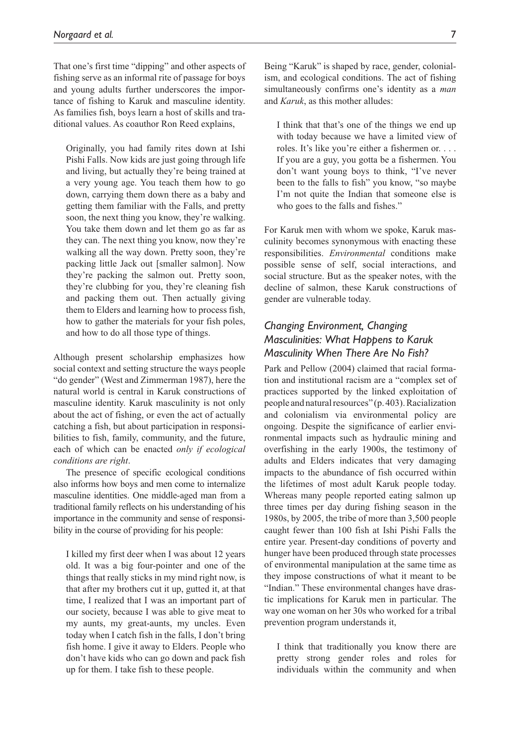That one's first time "dipping" and other aspects of fishing serve as an informal rite of passage for boys and young adults further underscores the importance of fishing to Karuk and masculine identity. As families fish, boys learn a host of skills and traditional values. As coauthor Ron Reed explains,

Originally, you had family rites down at Ishi Pishi Falls. Now kids are just going through life and living, but actually they're being trained at a very young age. You teach them how to go down, carrying them down there as a baby and getting them familiar with the Falls, and pretty soon, the next thing you know, they're walking. You take them down and let them go as far as they can. The next thing you know, now they're walking all the way down. Pretty soon, they're packing little Jack out [smaller salmon]. Now they're packing the salmon out. Pretty soon, they're clubbing for you, they're cleaning fish and packing them out. Then actually giving them to Elders and learning how to process fish, how to gather the materials for your fish poles, and how to do all those type of things.

Although present scholarship emphasizes how social context and setting structure the ways people "do gender" (West and Zimmerman 1987), here the natural world is central in Karuk constructions of masculine identity. Karuk masculinity is not only about the act of fishing, or even the act of actually catching a fish, but about participation in responsibilities to fish, family, community, and the future, each of which can be enacted *only if ecological conditions are right*.

The presence of specific ecological conditions also informs how boys and men come to internalize masculine identities. One middle-aged man from a traditional family reflects on his understanding of his importance in the community and sense of responsibility in the course of providing for his people:

I killed my first deer when I was about 12 years old. It was a big four-pointer and one of the things that really sticks in my mind right now, is that after my brothers cut it up, gutted it, at that time, I realized that I was an important part of our society, because I was able to give meat to my aunts, my great-aunts, my uncles. Even today when I catch fish in the falls, I don't bring fish home. I give it away to Elders. People who don't have kids who can go down and pack fish up for them. I take fish to these people.

Being "Karuk" is shaped by race, gender, colonialism, and ecological conditions. The act of fishing simultaneously confirms one's identity as a *man* and *Karuk*, as this mother alludes:

I think that that's one of the things we end up with today because we have a limited view of roles. It's like you're either a fishermen or. . . . If you are a guy, you gotta be a fishermen. You don't want young boys to think, "I've never been to the falls to fish" you know, "so maybe I'm not quite the Indian that someone else is who goes to the falls and fishes."

For Karuk men with whom we spoke, Karuk masculinity becomes synonymous with enacting these responsibilities. *Environmental* conditions make possible sense of self, social interactions, and social structure. But as the speaker notes, with the decline of salmon, these Karuk constructions of gender are vulnerable today.

#### *Changing Environment, Changing Masculinities: What Happens to Karuk Masculinity When There Are No Fish?*

Park and Pellow (2004) claimed that racial formation and institutional racism are a "complex set of practices supported by the linked exploitation of people and natural resources" (p. 403). Racialization and colonialism via environmental policy are ongoing. Despite the significance of earlier environmental impacts such as hydraulic mining and overfishing in the early 1900s, the testimony of adults and Elders indicates that very damaging impacts to the abundance of fish occurred within the lifetimes of most adult Karuk people today. Whereas many people reported eating salmon up three times per day during fishing season in the 1980s, by 2005, the tribe of more than 3,500 people caught fewer than 100 fish at Ishi Pishi Falls the entire year. Present-day conditions of poverty and hunger have been produced through state processes of environmental manipulation at the same time as they impose constructions of what it meant to be "Indian." These environmental changes have drastic implications for Karuk men in particular. The way one woman on her 30s who worked for a tribal prevention program understands it,

I think that traditionally you know there are pretty strong gender roles and roles for individuals within the community and when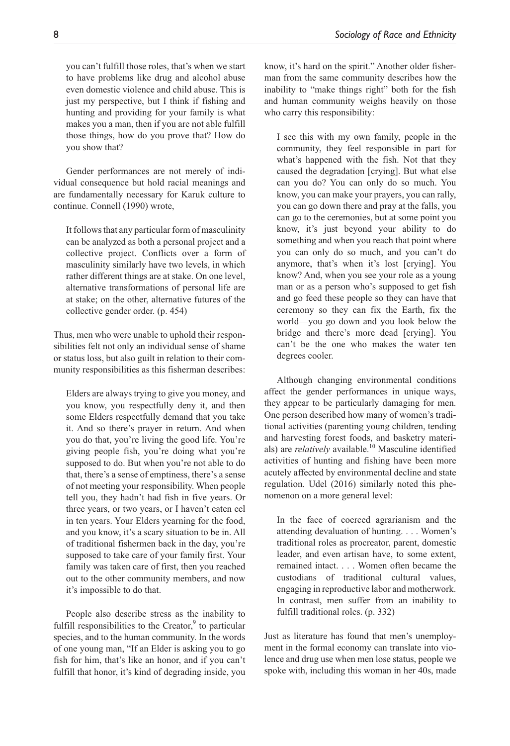you can't fulfill those roles, that's when we start to have problems like drug and alcohol abuse even domestic violence and child abuse. This is just my perspective, but I think if fishing and hunting and providing for your family is what makes you a man, then if you are not able fulfill those things, how do you prove that? How do you show that?

Gender performances are not merely of individual consequence but hold racial meanings and are fundamentally necessary for Karuk culture to continue. Connell (1990) wrote,

It follows that any particular form of masculinity can be analyzed as both a personal project and a collective project. Conflicts over a form of masculinity similarly have two levels, in which rather different things are at stake. On one level, alternative transformations of personal life are at stake; on the other, alternative futures of the collective gender order. (p. 454)

Thus, men who were unable to uphold their responsibilities felt not only an individual sense of shame or status loss, but also guilt in relation to their community responsibilities as this fisherman describes:

Elders are always trying to give you money, and you know, you respectfully deny it, and then some Elders respectfully demand that you take it. And so there's prayer in return. And when you do that, you're living the good life. You're giving people fish, you're doing what you're supposed to do. But when you're not able to do that, there's a sense of emptiness, there's a sense of not meeting your responsibility. When people tell you, they hadn't had fish in five years. Or three years, or two years, or I haven't eaten eel in ten years. Your Elders yearning for the food, and you know, it's a scary situation to be in. All of traditional fishermen back in the day, you're supposed to take care of your family first. Your family was taken care of first, then you reached out to the other community members, and now it's impossible to do that.

People also describe stress as the inability to fulfill responsibilities to the Creator, $9$  to particular species, and to the human community. In the words of one young man, "If an Elder is asking you to go fish for him, that's like an honor, and if you can't fulfill that honor, it's kind of degrading inside, you

know, it's hard on the spirit." Another older fisherman from the same community describes how the inability to "make things right" both for the fish and human community weighs heavily on those who carry this responsibility:

I see this with my own family, people in the community, they feel responsible in part for what's happened with the fish. Not that they caused the degradation [crying]. But what else can you do? You can only do so much. You know, you can make your prayers, you can rally, you can go down there and pray at the falls, you can go to the ceremonies, but at some point you know, it's just beyond your ability to do something and when you reach that point where you can only do so much, and you can't do anymore, that's when it's lost [crying]. You know? And, when you see your role as a young man or as a person who's supposed to get fish and go feed these people so they can have that ceremony so they can fix the Earth, fix the world—you go down and you look below the bridge and there's more dead [crying]. You can't be the one who makes the water ten degrees cooler.

Although changing environmental conditions affect the gender performances in unique ways, they appear to be particularly damaging for men. One person described how many of women's traditional activities (parenting young children, tending and harvesting forest foods, and basketry materials) are *relatively* available.<sup>10</sup> Masculine identified activities of hunting and fishing have been more acutely affected by environmental decline and state regulation. Udel (2016) similarly noted this phenomenon on a more general level:

In the face of coerced agrarianism and the attending devaluation of hunting. . . . Women's traditional roles as procreator, parent, domestic leader, and even artisan have, to some extent, remained intact. . . . Women often became the custodians of traditional cultural values, engaging in reproductive labor and motherwork. In contrast, men suffer from an inability to fulfill traditional roles. (p. 332)

Just as literature has found that men's unemployment in the formal economy can translate into violence and drug use when men lose status, people we spoke with, including this woman in her 40s, made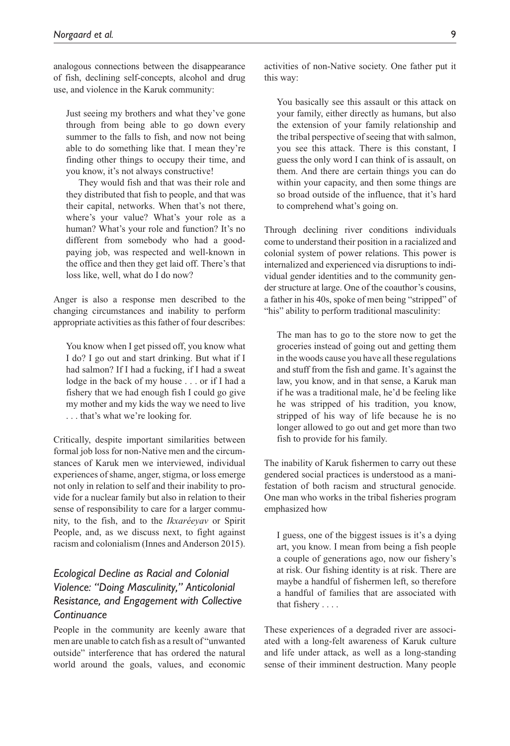analogous connections between the disappearance of fish, declining self-concepts, alcohol and drug use, and violence in the Karuk community:

Just seeing my brothers and what they've gone through from being able to go down every summer to the falls to fish, and now not being able to do something like that. I mean they're finding other things to occupy their time, and you know, it's not always constructive!

They would fish and that was their role and they distributed that fish to people, and that was their capital, networks. When that's not there, where's your value? What's your role as a human? What's your role and function? It's no different from somebody who had a goodpaying job, was respected and well-known in the office and then they get laid off. There's that loss like, well, what do I do now?

Anger is also a response men described to the changing circumstances and inability to perform appropriate activities as this father of four describes:

You know when I get pissed off, you know what I do? I go out and start drinking. But what if I had salmon? If I had a fucking, if I had a sweat lodge in the back of my house . . . or if I had a fishery that we had enough fish I could go give my mother and my kids the way we need to live . . . that's what we're looking for.

Critically, despite important similarities between formal job loss for non-Native men and the circumstances of Karuk men we interviewed, individual experiences of shame, anger, stigma, or loss emerge not only in relation to self and their inability to provide for a nuclear family but also in relation to their sense of responsibility to care for a larger community, to the fish, and to the *Ikxaréeyav* or Spirit People, and, as we discuss next, to fight against racism and colonialism (Innes and Anderson 2015).

#### *Ecological Decline as Racial and Colonial Violence: "Doing Masculinity," Anticolonial Resistance, and Engagement with Collective Continuance*

People in the community are keenly aware that men are unable to catch fish as a result of "unwanted outside" interference that has ordered the natural world around the goals, values, and economic activities of non-Native society. One father put it this way:

You basically see this assault or this attack on your family, either directly as humans, but also the extension of your family relationship and the tribal perspective of seeing that with salmon, you see this attack. There is this constant, I guess the only word I can think of is assault, on them. And there are certain things you can do within your capacity, and then some things are so broad outside of the influence, that it's hard to comprehend what's going on.

Through declining river conditions individuals come to understand their position in a racialized and colonial system of power relations. This power is internalized and experienced via disruptions to individual gender identities and to the community gender structure at large. One of the coauthor's cousins, a father in his 40s, spoke of men being "stripped" of "his" ability to perform traditional masculinity:

The man has to go to the store now to get the groceries instead of going out and getting them in the woods cause you have all these regulations and stuff from the fish and game. It's against the law, you know, and in that sense, a Karuk man if he was a traditional male, he'd be feeling like he was stripped of his tradition, you know, stripped of his way of life because he is no longer allowed to go out and get more than two fish to provide for his family.

The inability of Karuk fishermen to carry out these gendered social practices is understood as a manifestation of both racism and structural genocide. One man who works in the tribal fisheries program emphasized how

I guess, one of the biggest issues is it's a dying art, you know. I mean from being a fish people a couple of generations ago, now our fishery's at risk. Our fishing identity is at risk. There are maybe a handful of fishermen left, so therefore a handful of families that are associated with that fishery . . . .

These experiences of a degraded river are associated with a long-felt awareness of Karuk culture and life under attack, as well as a long-standing sense of their imminent destruction. Many people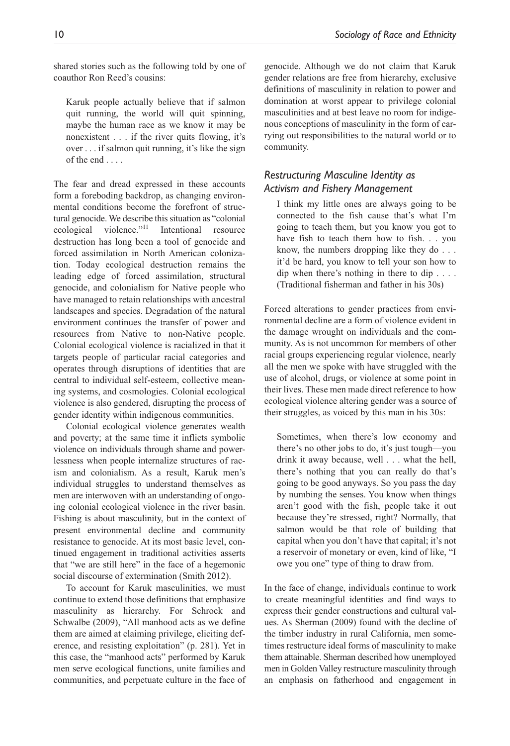shared stories such as the following told by one of coauthor Ron Reed's cousins:

Karuk people actually believe that if salmon quit running, the world will quit spinning, maybe the human race as we know it may be nonexistent . . . if the river quits flowing, it's over . . . if salmon quit running, it's like the sign of the end . . . .

The fear and dread expressed in these accounts form a foreboding backdrop, as changing environmental conditions become the forefront of structural genocide. We describe this situation as "colonial ecological violence."<sup>11</sup> Intentional resource destruction has long been a tool of genocide and forced assimilation in North American colonization. Today ecological destruction remains the leading edge of forced assimilation, structural genocide, and colonialism for Native people who have managed to retain relationships with ancestral landscapes and species. Degradation of the natural environment continues the transfer of power and resources from Native to non-Native people. Colonial ecological violence is racialized in that it targets people of particular racial categories and operates through disruptions of identities that are central to individual self-esteem, collective meaning systems, and cosmologies. Colonial ecological violence is also gendered, disrupting the process of gender identity within indigenous communities.

Colonial ecological violence generates wealth and poverty; at the same time it inflicts symbolic violence on individuals through shame and powerlessness when people internalize structures of racism and colonialism. As a result, Karuk men's individual struggles to understand themselves as men are interwoven with an understanding of ongoing colonial ecological violence in the river basin. Fishing is about masculinity, but in the context of present environmental decline and community resistance to genocide. At its most basic level, continued engagement in traditional activities asserts that "we are still here" in the face of a hegemonic social discourse of extermination (Smith 2012).

To account for Karuk masculinities, we must continue to extend those definitions that emphasize masculinity as hierarchy. For Schrock and Schwalbe (2009), "All manhood acts as we define them are aimed at claiming privilege, eliciting deference, and resisting exploitation" (p. 281). Yet in this case, the "manhood acts" performed by Karuk men serve ecological functions, unite families and communities, and perpetuate culture in the face of

genocide. Although we do not claim that Karuk gender relations are free from hierarchy, exclusive definitions of masculinity in relation to power and domination at worst appear to privilege colonial masculinities and at best leave no room for indigenous conceptions of masculinity in the form of carrying out responsibilities to the natural world or to community.

#### *Restructuring Masculine Identity as Activism and Fishery Management*

I think my little ones are always going to be connected to the fish cause that's what I'm going to teach them, but you know you got to have fish to teach them how to fish. . . you know, the numbers dropping like they do . . . it'd be hard, you know to tell your son how to dip when there's nothing in there to dip . . . . (Traditional fisherman and father in his 30s)

Forced alterations to gender practices from environmental decline are a form of violence evident in the damage wrought on individuals and the community. As is not uncommon for members of other racial groups experiencing regular violence, nearly all the men we spoke with have struggled with the use of alcohol, drugs, or violence at some point in their lives. These men made direct reference to how ecological violence altering gender was a source of their struggles, as voiced by this man in his 30s:

Sometimes, when there's low economy and there's no other jobs to do, it's just tough—you drink it away because, well . . . what the hell, there's nothing that you can really do that's going to be good anyways. So you pass the day by numbing the senses. You know when things aren't good with the fish, people take it out because they're stressed, right? Normally, that salmon would be that role of building that capital when you don't have that capital; it's not a reservoir of monetary or even, kind of like, "I owe you one" type of thing to draw from.

In the face of change, individuals continue to work to create meaningful identities and find ways to express their gender constructions and cultural values. As Sherman (2009) found with the decline of the timber industry in rural California, men sometimes restructure ideal forms of masculinity to make them attainable. Sherman described how unemployed men in Golden Valley restructure masculinity through an emphasis on fatherhood and engagement in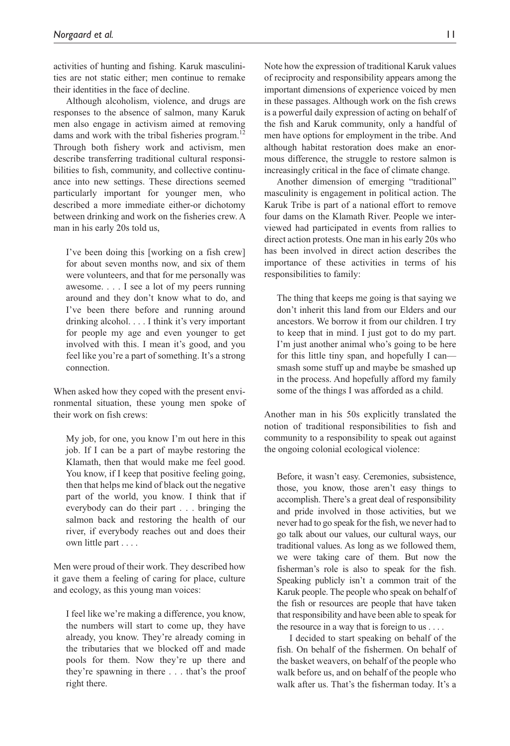activities of hunting and fishing. Karuk masculinities are not static either; men continue to remake their identities in the face of decline.

Although alcoholism, violence, and drugs are responses to the absence of salmon, many Karuk men also engage in activism aimed at removing dams and work with the tribal fisheries program. $^{12}$ Through both fishery work and activism, men describe transferring traditional cultural responsibilities to fish, community, and collective continuance into new settings. These directions seemed particularly important for younger men, who described a more immediate either-or dichotomy between drinking and work on the fisheries crew. A man in his early 20s told us,

I've been doing this [working on a fish crew] for about seven months now, and six of them were volunteers, and that for me personally was awesome. . . . I see a lot of my peers running around and they don't know what to do, and I've been there before and running around drinking alcohol. . . . I think it's very important for people my age and even younger to get involved with this. I mean it's good, and you feel like you're a part of something. It's a strong connection.

When asked how they coped with the present environmental situation, these young men spoke of their work on fish crews:

My job, for one, you know I'm out here in this job. If I can be a part of maybe restoring the Klamath, then that would make me feel good. You know, if I keep that positive feeling going, then that helps me kind of black out the negative part of the world, you know. I think that if everybody can do their part . . . bringing the salmon back and restoring the health of our river, if everybody reaches out and does their own little part . . . .

Men were proud of their work. They described how it gave them a feeling of caring for place, culture and ecology, as this young man voices:

I feel like we're making a difference, you know, the numbers will start to come up, they have already, you know. They're already coming in the tributaries that we blocked off and made pools for them. Now they're up there and they're spawning in there . . . that's the proof right there.

Note how the expression of traditional Karuk values of reciprocity and responsibility appears among the important dimensions of experience voiced by men in these passages. Although work on the fish crews is a powerful daily expression of acting on behalf of the fish and Karuk community, only a handful of men have options for employment in the tribe. And although habitat restoration does make an enormous difference, the struggle to restore salmon is increasingly critical in the face of climate change.

Another dimension of emerging "traditional" masculinity is engagement in political action. The Karuk Tribe is part of a national effort to remove four dams on the Klamath River. People we interviewed had participated in events from rallies to direct action protests. One man in his early 20s who has been involved in direct action describes the importance of these activities in terms of his responsibilities to family:

The thing that keeps me going is that saying we don't inherit this land from our Elders and our ancestors. We borrow it from our children. I try to keep that in mind. I just got to do my part. I'm just another animal who's going to be here for this little tiny span, and hopefully I can smash some stuff up and maybe be smashed up in the process. And hopefully afford my family some of the things I was afforded as a child.

Another man in his 50s explicitly translated the notion of traditional responsibilities to fish and community to a responsibility to speak out against the ongoing colonial ecological violence:

Before, it wasn't easy. Ceremonies, subsistence, those, you know, those aren't easy things to accomplish. There's a great deal of responsibility and pride involved in those activities, but we never had to go speak for the fish, we never had to go talk about our values, our cultural ways, our traditional values. As long as we followed them, we were taking care of them. But now the fisherman's role is also to speak for the fish. Speaking publicly isn't a common trait of the Karuk people. The people who speak on behalf of the fish or resources are people that have taken that responsibility and have been able to speak for the resource in a way that is foreign to us  $\dots$ .

I decided to start speaking on behalf of the fish. On behalf of the fishermen. On behalf of the basket weavers, on behalf of the people who walk before us, and on behalf of the people who walk after us. That's the fisherman today. It's a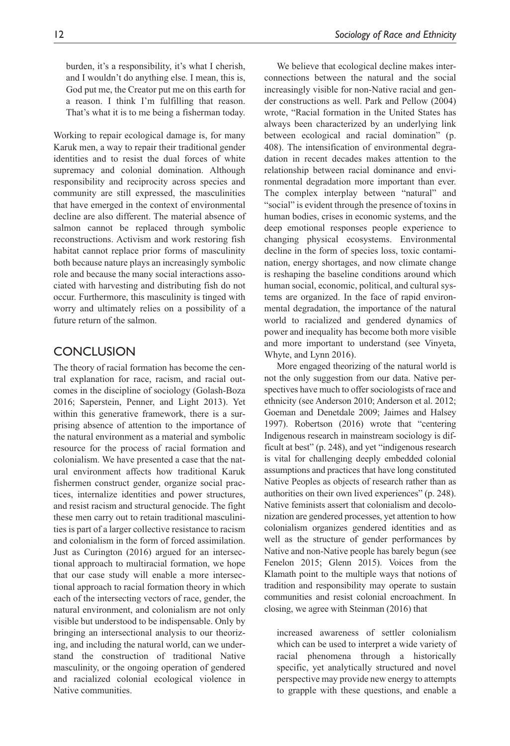burden, it's a responsibility, it's what I cherish, and I wouldn't do anything else. I mean, this is, God put me, the Creator put me on this earth for a reason. I think I'm fulfilling that reason. That's what it is to me being a fisherman today.

Working to repair ecological damage is, for many Karuk men, a way to repair their traditional gender identities and to resist the dual forces of white supremacy and colonial domination. Although responsibility and reciprocity across species and community are still expressed, the masculinities that have emerged in the context of environmental decline are also different. The material absence of salmon cannot be replaced through symbolic reconstructions. Activism and work restoring fish habitat cannot replace prior forms of masculinity both because nature plays an increasingly symbolic role and because the many social interactions associated with harvesting and distributing fish do not occur. Furthermore, this masculinity is tinged with worry and ultimately relies on a possibility of a future return of the salmon.

## CONCLUSION

The theory of racial formation has become the central explanation for race, racism, and racial outcomes in the discipline of sociology (Golash-Boza 2016; Saperstein, Penner, and Light 2013). Yet within this generative framework, there is a surprising absence of attention to the importance of the natural environment as a material and symbolic resource for the process of racial formation and colonialism. We have presented a case that the natural environment affects how traditional Karuk fishermen construct gender, organize social practices, internalize identities and power structures, and resist racism and structural genocide. The fight these men carry out to retain traditional masculinities is part of a larger collective resistance to racism and colonialism in the form of forced assimilation. Just as Curington (2016) argued for an intersectional approach to multiracial formation, we hope that our case study will enable a more intersectional approach to racial formation theory in which each of the intersecting vectors of race, gender, the natural environment, and colonialism are not only visible but understood to be indispensable. Only by bringing an intersectional analysis to our theorizing, and including the natural world, can we understand the construction of traditional Native masculinity, or the ongoing operation of gendered and racialized colonial ecological violence in Native communities.

We believe that ecological decline makes interconnections between the natural and the social increasingly visible for non-Native racial and gender constructions as well. Park and Pellow (2004) wrote, "Racial formation in the United States has always been characterized by an underlying link between ecological and racial domination" (p. 408). The intensification of environmental degradation in recent decades makes attention to the relationship between racial dominance and environmental degradation more important than ever. The complex interplay between "natural" and "social" is evident through the presence of toxins in human bodies, crises in economic systems, and the deep emotional responses people experience to changing physical ecosystems. Environmental decline in the form of species loss, toxic contamination, energy shortages, and now climate change is reshaping the baseline conditions around which human social, economic, political, and cultural systems are organized. In the face of rapid environmental degradation, the importance of the natural world to racialized and gendered dynamics of power and inequality has become both more visible and more important to understand (see Vinyeta, Whyte, and Lynn 2016).

More engaged theorizing of the natural world is not the only suggestion from our data. Native perspectives have much to offer sociologists of race and ethnicity (see Anderson 2010; Anderson et al. 2012; Goeman and Denetdale 2009; Jaimes and Halsey 1997). Robertson (2016) wrote that "centering Indigenous research in mainstream sociology is difficult at best" (p. 248), and yet "indigenous research is vital for challenging deeply embedded colonial assumptions and practices that have long constituted Native Peoples as objects of research rather than as authorities on their own lived experiences" (p. 248). Native feminists assert that colonialism and decolonization are gendered processes, yet attention to how colonialism organizes gendered identities and as well as the structure of gender performances by Native and non-Native people has barely begun (see Fenelon 2015; Glenn 2015). Voices from the Klamath point to the multiple ways that notions of tradition and responsibility may operate to sustain communities and resist colonial encroachment. In closing, we agree with Steinman (2016) that

increased awareness of settler colonialism which can be used to interpret a wide variety of racial phenomena through a historically specific, yet analytically structured and novel perspective may provide new energy to attempts to grapple with these questions, and enable a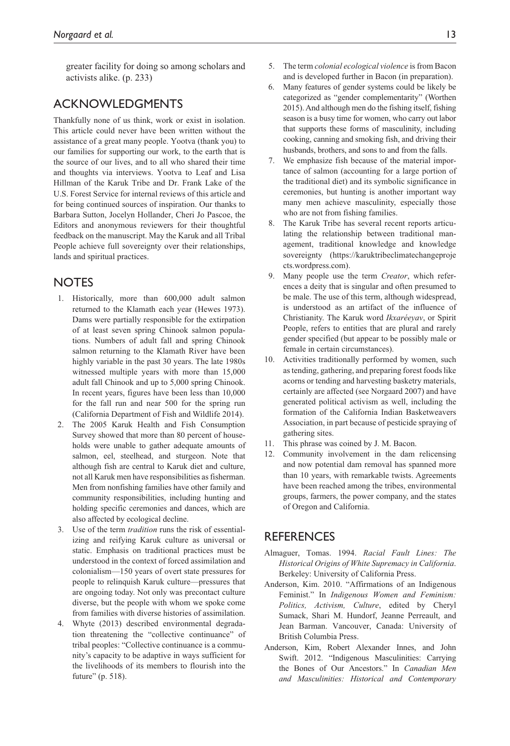greater facility for doing so among scholars and activists alike. (p. 233)

## **ACKNOWLEDGMENTS**

Thankfully none of us think, work or exist in isolation. This article could never have been written without the assistance of a great many people. Yootva (thank you) to our families for supporting our work, to the earth that is the source of our lives, and to all who shared their time and thoughts via interviews. Yootva to Leaf and Lisa Hillman of the Karuk Tribe and Dr. Frank Lake of the U.S. Forest Service for internal reviews of this article and for being continued sources of inspiration. Our thanks to Barbara Sutton, Jocelyn Hollander, Cheri Jo Pascoe, the Editors and anonymous reviewers for their thoughtful feedback on the manuscript. May the Karuk and all Tribal People achieve full sovereignty over their relationships, lands and spiritual practices.

#### **NOTES**

- 1. Historically, more than 600,000 adult salmon returned to the Klamath each year (Hewes 1973). Dams were partially responsible for the extirpation of at least seven spring Chinook salmon populations. Numbers of adult fall and spring Chinook salmon returning to the Klamath River have been highly variable in the past 30 years. The late 1980s witnessed multiple years with more than 15,000 adult fall Chinook and up to 5,000 spring Chinook. In recent years, figures have been less than 10,000 for the fall run and near 500 for the spring run (California Department of Fish and Wildlife 2014).
- 2. The 2005 Karuk Health and Fish Consumption Survey showed that more than 80 percent of households were unable to gather adequate amounts of salmon, eel, steelhead, and sturgeon. Note that although fish are central to Karuk diet and culture, not all Karuk men have responsibilities as fisherman. Men from nonfishing families have other family and community responsibilities, including hunting and holding specific ceremonies and dances, which are also affected by ecological decline.
- 3. Use of the term *tradition* runs the risk of essentializing and reifying Karuk culture as universal or static. Emphasis on traditional practices must be understood in the context of forced assimilation and colonialism—150 years of overt state pressures for people to relinquish Karuk culture—pressures that are ongoing today. Not only was precontact culture diverse, but the people with whom we spoke come from families with diverse histories of assimilation.
- 4. Whyte (2013) described environmental degradation threatening the "collective continuance" of tribal peoples: "Collective continuance is a community's capacity to be adaptive in ways sufficient for the livelihoods of its members to flourish into the future" (p. 518).
- 5. The term *colonial ecological violence* is from Bacon and is developed further in Bacon (in preparation).
- 6. Many features of gender systems could be likely be categorized as "gender complementarity" (Worthen 2015). And although men do the fishing itself, fishing season is a busy time for women, who carry out labor that supports these forms of masculinity, including cooking, canning and smoking fish, and driving their husbands, brothers, and sons to and from the falls.
- 7. We emphasize fish because of the material importance of salmon (accounting for a large portion of the traditional diet) and its symbolic significance in ceremonies, but hunting is another important way many men achieve masculinity, especially those who are not from fishing families.
- The Karuk Tribe has several recent reports articulating the relationship between traditional management, traditional knowledge and knowledge sovereignty (https://karuktribeclimatechangeproje cts.wordpress.com).
- 9. Many people use the term *Creator*, which references a deity that is singular and often presumed to be male. The use of this term, although widespread, is understood as an artifact of the influence of Christianity. The Karuk word *Ikxaréeyav*, or Spirit People, refers to entities that are plural and rarely gender specified (but appear to be possibly male or female in certain circumstances).
- 10. Activities traditionally performed by women, such as tending, gathering, and preparing forest foods like acorns or tending and harvesting basketry materials, certainly are affected (see Norgaard 2007) and have generated political activism as well, including the formation of the California Indian Basketweavers Association, in part because of pesticide spraying of gathering sites.
- 11. This phrase was coined by J. M. Bacon.
- 12. Community involvement in the dam relicensing and now potential dam removal has spanned more than 10 years, with remarkable twists. Agreements have been reached among the tribes, environmental groups, farmers, the power company, and the states of Oregon and California.

#### **REFERENCES**

- Almaguer, Tomas. 1994. *Racial Fault Lines: The Historical Origins of White Supremacy in California*. Berkeley: University of California Press.
- Anderson, Kim. 2010. "Affirmations of an Indigenous Feminist." In *Indigenous Women and Feminism: Politics, Activism, Culture*, edited by Cheryl Sumack, Shari M. Hundorf, Jeanne Perreault, and Jean Barman. Vancouver, Canada: University of British Columbia Press.
- Anderson, Kim, Robert Alexander Innes, and John Swift. 2012. "Indigenous Masculinities: Carrying the Bones of Our Ancestors." In *Canadian Men and Masculinities: Historical and Contemporary*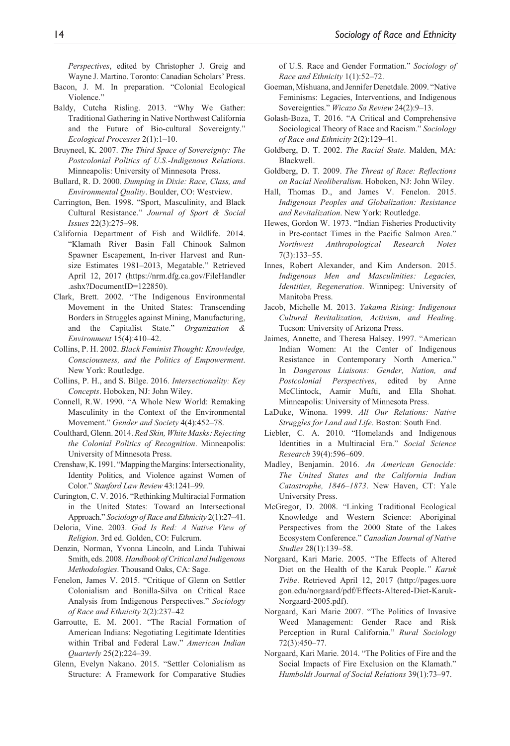*Perspectives*, edited by Christopher J. Greig and Wayne J. Martino. Toronto: Canadian Scholars' Press.

- Bacon, J. M. In preparation. "Colonial Ecological Violence."
- Baldy, Cutcha Risling. 2013. "Why We Gather: Traditional Gathering in Native Northwest California and the Future of Bio-cultural Sovereignty." *Ecological Processes* 2(1):1–10.
- Bruyneel, K. 2007. *The Third Space of Sovereignty: The Postcolonial Politics of U.S.-Indigenous Relations*. Minneapolis: University of Minnesota Press.
- Bullard, R. D. 2000. *Dumping in Dixie: Race, Class, and Environmental Quality*. Boulder, CO: Westview.
- Carrington, Ben. 1998. "Sport, Masculinity, and Black Cultural Resistance." *Journal of Sport & Social Issues* 22(3):275–98.
- California Department of Fish and Wildlife. 2014. "Klamath River Basin Fall Chinook Salmon Spawner Escapement, In-river Harvest and Runsize Estimates 1981–2013, Megatable." Retrieved April 12, 2017 (https://nrm.dfg.ca.gov/FileHandler .ashx?DocumentID=122850).
- Clark, Brett. 2002. "The Indigenous Environmental Movement in the United States: Transcending Borders in Struggles against Mining, Manufacturing, and the Capitalist State." *Organization & Environment* 15(4):410–42.
- Collins, P. H. 2002. *Black Feminist Thought: Knowledge, Consciousness, and the Politics of Empowerment*. New York: Routledge.
- Collins, P. H., and S. Bilge. 2016. *Intersectionality: Key Concepts*. Hoboken, NJ: John Wiley.
- Connell, R.W. 1990. "A Whole New World: Remaking Masculinity in the Context of the Environmental Movement." *Gender and Society* 4(4):452–78.
- Coulthard, Glenn. 2014. *Red Skin, White Masks: Rejecting the Colonial Politics of Recognition*. Minneapolis: University of Minnesota Press.
- Crenshaw, K. 1991. "Mapping the Margins: Intersectionality, Identity Politics, and Violence against Women of Color." *Stanford Law Review* 43:1241–99.
- Curington, C. V. 2016. "Rethinking Multiracial Formation in the United States: Toward an Intersectional Approach." *Sociology of Race and Ethnicity* 2(1):27–41.
- Deloria, Vine. 2003. *God Is Red: A Native View of Religion*. 3rd ed. Golden, CO: Fulcrum.
- Denzin, Norman, Yvonna Lincoln, and Linda Tuhiwai Smith, eds. 2008. *Handbook of Critical and Indigenous Methodologies*. Thousand Oaks, CA: Sage.
- Fenelon, James V. 2015. "Critique of Glenn on Settler Colonialism and Bonilla-Silva on Critical Race Analysis from Indigenous Perspectives." *Sociology of Race and Ethnicity* 2(2):237–42
- Garroutte, E. M. 2001. "The Racial Formation of American Indians: Negotiating Legitimate Identities within Tribal and Federal Law." *American Indian Quarterly* 25(2):224–39.
- Glenn, Evelyn Nakano. 2015. "Settler Colonialism as Structure: A Framework for Comparative Studies

of U.S. Race and Gender Formation." *Sociology of Race and Ethnicity* 1(1):52–72.

- Goeman, Mishuana, and Jennifer Denetdale. 2009. "Native Feminisms: Legacies, Interventions, and Indigenous Sovereignties." *Wicazo Sa Review* 24(2):9–13.
- Golash-Boza, T. 2016. "A Critical and Comprehensive Sociological Theory of Race and Racism." *Sociology of Race and Ethnicity* 2(2):129–41.
- Goldberg, D. T. 2002. *The Racial State*. Malden, MA: Blackwell.
- Goldberg, D. T. 2009. *The Threat of Race: Reflections on Racial Neoliberalism*. Hoboken, NJ: John Wiley.
- Hall, Thomas D., and James V. Fenelon. 2015. *Indigenous Peoples and Globalization: Resistance and Revitalization*. New York: Routledge.
- Hewes, Gordon W. 1973. "Indian Fisheries Productivity in Pre-contact Times in the Pacific Salmon Area." *Northwest Anthropological Research Notes* 7(3):133–55.
- Innes, Robert Alexander, and Kim Anderson. 2015. *Indigenous Men and Masculinities: Legacies, Identities, Regeneration*. Winnipeg: University of Manitoba Press.
- Jacob, Michelle M. 2013. *Yakama Rising: Indigenous Cultural Revitalization, Activism, and Healing*. Tucson: University of Arizona Press.
- Jaimes, Annette, and Theresa Halsey. 1997. "American Indian Women: At the Center of Indigenous Resistance in Contemporary North America." In *Dangerous Liaisons: Gender, Nation, and Postcolonial Perspectives*, edited by Anne McClintock, Aamir Mufti, and Ella Shohat. Minneapolis: University of Minnesota Press.
- LaDuke, Winona. 1999. *All Our Relations: Native Struggles for Land and Life*. Boston: South End.
- Liebler, C. A. 2010. "Homelands and Indigenous Identities in a Multiracial Era." *Social Science Research* 39(4):596–609.
- Madley, Benjamin. 2016. *An American Genocide: The United States and the California Indian Catastrophe, 1846–1873*. New Haven, CT: Yale University Press.
- McGregor, D. 2008. "Linking Traditional Ecological Knowledge and Western Science: Aboriginal Perspectives from the 2000 State of the Lakes Ecosystem Conference." *Canadian Journal of Native Studies* 28(1):139–58.
- Norgaard, Kari Marie. 2005. "The Effects of Altered Diet on the Health of the Karuk People.*" Karuk Tribe*. Retrieved April 12, 2017 (http://pages.uore gon.edu/norgaard/pdf/Effects-Altered-Diet-Karuk-Norgaard-2005.pdf).
- Norgaard, Kari Marie 2007. "The Politics of Invasive Weed Management: Gender Race and Risk Perception in Rural California." *Rural Sociology* 72(3):450–77.
- Norgaard, Kari Marie. 2014. "The Politics of Fire and the Social Impacts of Fire Exclusion on the Klamath." *Humboldt Journal of Social Relations* 39(1):73–97.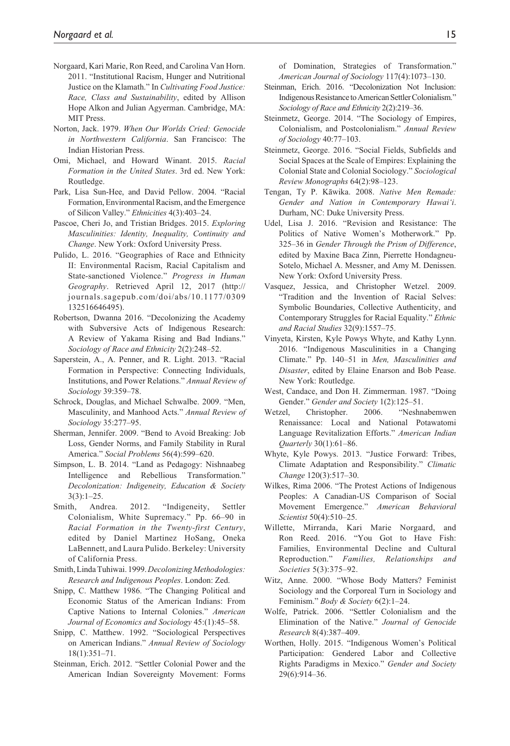- Norgaard, Kari Marie, Ron Reed, and Carolina Van Horn. 2011. "Institutional Racism, Hunger and Nutritional Justice on the Klamath." In *Cultivating Food Justice: Race, Class and Sustainability*, edited by Allison Hope Alkon and Julian Agyerman. Cambridge, MA: MIT Press.
- Norton, Jack. 1979. *When Our Worlds Cried: Genocide in Northwestern California*. San Francisco: The Indian Historian Press.
- Omi, Michael, and Howard Winant. 2015. *Racial Formation in the United States*. 3rd ed. New York: Routledge.
- Park, Lisa Sun-Hee, and David Pellow. 2004. "Racial Formation, Environmental Racism, and the Emergence of Silicon Valley." *Ethnicities* 4(3):403–24.
- Pascoe, Cheri Jo, and Tristian Bridges. 2015. *Exploring Masculinities: Identity, Inequality, Continuity and Change*. New York: Oxford University Press.
- Pulido, L. 2016. "Geographies of Race and Ethnicity II: Environmental Racism, Racial Capitalism and State-sanctioned Violence." *Progress in Human Geography*. Retrieved April 12, 2017 (http:// journals.sagepub.com/doi/abs/10.1177/0309 132516646495).
- Robertson, Dwanna 2016. "Decolonizing the Academy with Subversive Acts of Indigenous Research: A Review of Yakama Rising and Bad Indians." *Sociology of Race and Ethnicity* 2(2):248–52.
- Saperstein, A., A. Penner, and R. Light. 2013. "Racial Formation in Perspective: Connecting Individuals, Institutions, and Power Relations." *Annual Review of Sociology* 39:359–78.
- Schrock, Douglas, and Michael Schwalbe. 2009. "Men, Masculinity, and Manhood Acts." *Annual Review of Sociology* 35:277–95.
- Sherman, Jennifer. 2009. "Bend to Avoid Breaking: Job Loss, Gender Norms, and Family Stability in Rural America." *Social Problems* 56(4):599–620.
- Simpson, L. B. 2014. "Land as Pedagogy: Nishnaabeg Intelligence and Rebellious Transformation." *Decolonization: Indigeneity, Education & Society*  $3(3):1-25.$
- Smith, Andrea. 2012. "Indigeneity, Settler Colonialism, White Supremacy." Pp. 66–90 in *Racial Formation in the Twenty-first Century*, edited by Daniel Martinez HoSang, Oneka LaBennett, and Laura Pulido. Berkeley: University of California Press.
- Smith, Linda Tuhiwai. 1999. *Decolonizing Methodologies: Research and Indigenous Peoples*. London: Zed.
- Snipp, C. Matthew 1986. "The Changing Political and Economic Status of the American Indians: From Captive Nations to Internal Colonies." *American Journal of Economics and Sociology* 45:(1):45–58.
- Snipp, C. Matthew. 1992. "Sociological Perspectives on American Indians." *Annual Review of Sociology* 18(1):351–71.
- Steinman, Erich. 2012. "Settler Colonial Power and the American Indian Sovereignty Movement: Forms

of Domination, Strategies of Transformation." *American Journal of Sociology* 117(4):1073–130.

- Steinman, Erich. 2016. "Decolonization Not Inclusion: Indigenous Resistance to American Settler Colonialism." *Sociology of Race and Ethnicity* 2(2):219–36.
- Steinmetz, George. 2014. "The Sociology of Empires, Colonialism, and Postcolonialism." *Annual Review of Sociology* 40:77–103.
- Steinmetz, George. 2016. "Social Fields, Subfields and Social Spaces at the Scale of Empires: Explaining the Colonial State and Colonial Sociology." *Sociological Review Monographs* 64(2):98–123.
- Tengan, Ty P. Kāwika. 2008. *Native Men Remade: Gender and Nation in Contemporary Hawai'i*. Durham, NC: Duke University Press.
- Udel, Lisa J. 2016. "Revision and Resistance: The Politics of Native Women's Motherwork." Pp. 325–36 in *Gender Through the Prism of Difference*, edited by Maxine Baca Zinn, Pierrette Hondagneu-Sotelo, Michael A. Messner, and Amy M. Denissen. New York: Oxford University Press.
- Vasquez, Jessica, and Christopher Wetzel. 2009. "Tradition and the Invention of Racial Selves: Symbolic Boundaries, Collective Authenticity, and Contemporary Struggles for Racial Equality." *Ethnic and Racial Studies* 32(9):1557–75.
- Vinyeta, Kirsten, Kyle Powys Whyte, and Kathy Lynn. 2016. "Indigenous Masculinities in a Changing Climate." Pp. 140–51 in *Men, Masculinities and Disaster*, edited by Elaine Enarson and Bob Pease. New York: Routledge.
- West, Candace, and Don H. Zimmerman. 1987. "Doing Gender." *Gender and Society* 1(2):125–51.
- Wetzel, Christopher. 2006. "Neshnabemwen Renaissance: Local and National Potawatomi Language Revitalization Efforts." *American Indian Quarterly* 30(1):61–86.
- Whyte, Kyle Powys. 2013. "Justice Forward: Tribes, Climate Adaptation and Responsibility." *Climatic Change* 120(3):517–30.
- Wilkes, Rima 2006. "The Protest Actions of Indigenous Peoples: A Canadian-US Comparison of Social Movement Emergence." *American Behavioral Scientist* 50(4):510–25.
- Willette, Mirranda, Kari Marie Norgaard, and Ron Reed. 2016. "You Got to Have Fish: Families, Environmental Decline and Cultural Reproduction." *Families, Relationships and Societies* 5(3):375–92.
- Witz, Anne. 2000. "Whose Body Matters? Feminist Sociology and the Corporeal Turn in Sociology and Feminism." *Body & Society* 6(2):1–24.
- Wolfe, Patrick. 2006. "Settler Colonialism and the Elimination of the Native." *Journal of Genocide Research* 8(4):387–409.
- Worthen, Holly. 2015. "Indigenous Women's Political Participation: Gendered Labor and Collective Rights Paradigms in Mexico." *Gender and Society* 29(6):914–36.